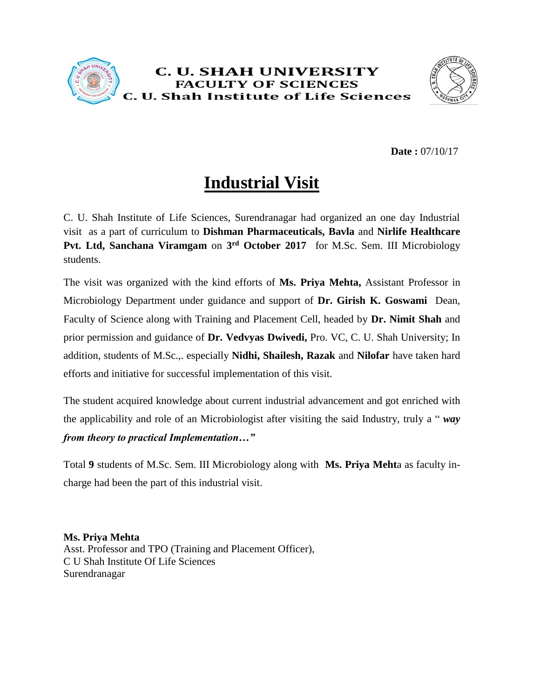



**Date :** 07/10/17

## **Industrial Visit**

C. U. Shah Institute of Life Sciences, Surendranagar had organized an one day Industrial visit as a part of curriculum to **Dishman Pharmaceuticals, Bavla** and **Nirlife Healthcare Pvt. Ltd, Sanchana Viramgam** on **3 rd October 2017** for M.Sc. Sem. III Microbiology students.

The visit was organized with the kind efforts of **Ms. Priya Mehta,** Assistant Professor in Microbiology Department under guidance and support of **Dr. Girish K. Goswami** Dean, Faculty of Science along with Training and Placement Cell, headed by **Dr. Nimit Shah** and prior permission and guidance of **Dr. Vedvyas Dwivedi,** Pro. VC, C. U. Shah University; In addition, students of M.Sc.,. especially **Nidhi, Shailesh, Razak** and **Nilofar** have taken hard efforts and initiative for successful implementation of this visit.

The student acquired knowledge about current industrial advancement and got enriched with the applicability and role of an Microbiologist after visiting the said Industry, truly a " *way from theory to practical Implementation…"*

Total **9** students of M.Sc. Sem. III Microbiology along with **Ms. Priya Meht**a as faculty incharge had been the part of this industrial visit.

**Ms. Priya Mehta**

Asst. Professor and TPO (Training and Placement Officer), C U Shah Institute Of Life Sciences Surendranagar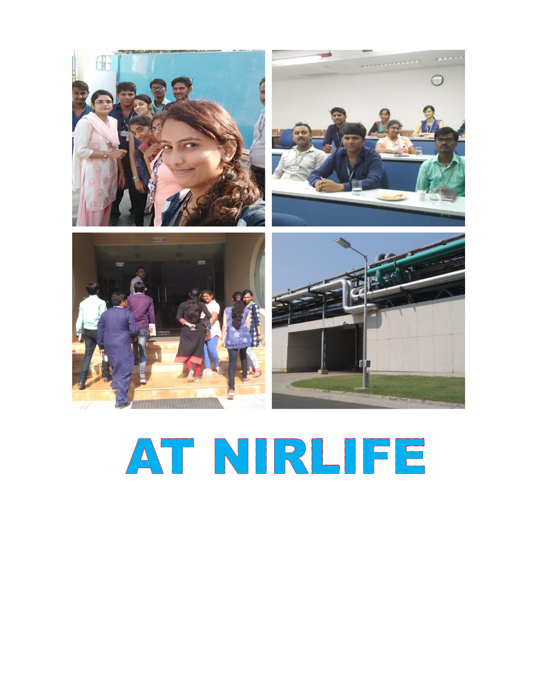

## AT NIRLIFE